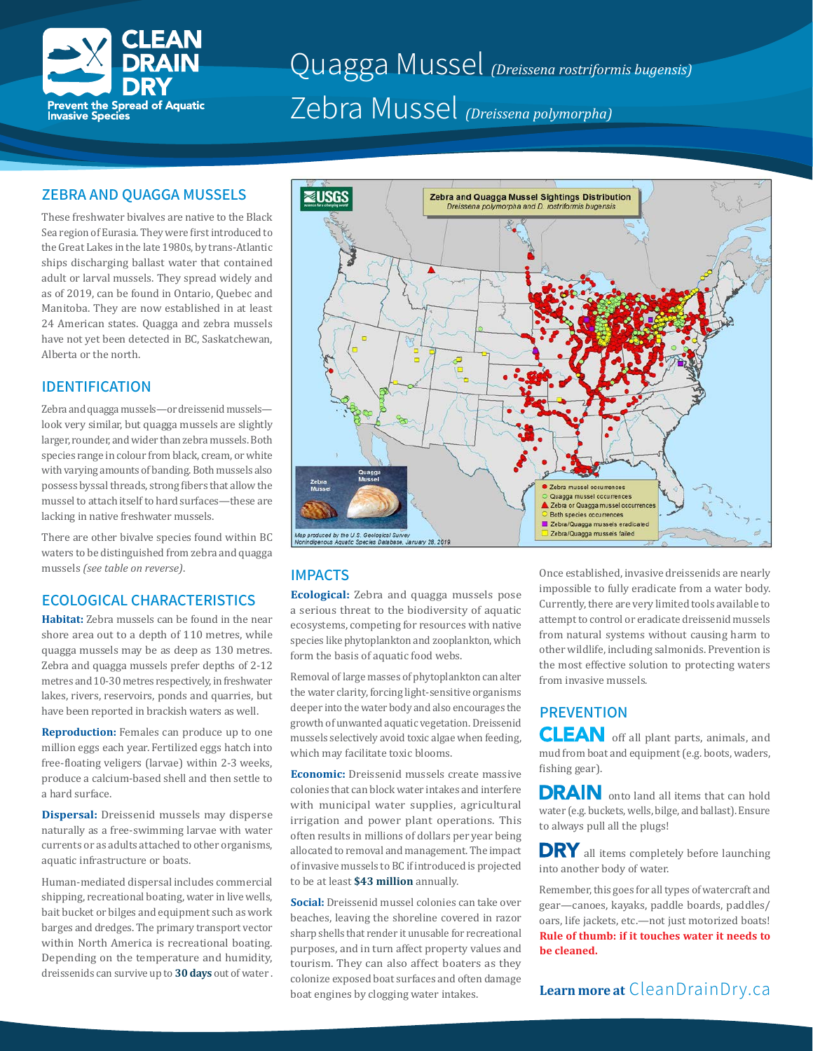

# Quagga Mussel *(Dreissena rostriformis bugensis)* Zebra Mussel *(Dreissena polymorpha)*

#### **ZEBRA AND QUAGGA MUSSELS**

These freshwater bivalves are native to the Black Sea region of Eurasia. They were first introduced to the Great Lakes in the late 1980s, by trans-Atlantic ships discharging ballast water that contained adult or larval mussels. They spread widely and as of 2019, can be found in Ontario, Quebec and Manitoba. They are now established in at least 24 American states. Quagga and zebra mussels have not yet been detected in BC, Saskatchewan, Alberta or the north.

### **IDENTIFICATION**

Zebra and quagga mussels—or dreissenid mussels look very similar, but quagga mussels are slightly larger, rounder, and wider than zebra mussels. Both species range in colour from black, cream, or white with varying amounts of banding. Both mussels also possess byssal threads, strong fibers that allow the mussel to attach itself to hard surfaces—these are lacking in native freshwater mussels.

There are other bivalve species found within BC waters to be distinguished from zebra and quagga mussels *(see table on reverse)*.

### **ECOLOGICAL CHARACTERISTICS**

**Habitat:** Zebra mussels can be found in the near shore area out to a depth of 110 metres, while quagga mussels may be as deep as 130 metres. Zebra and quagga mussels prefer depths of 2-12 metres and 10-30 metres respectively, in freshwater lakes, rivers, reservoirs, ponds and quarries, but have been reported in brackish waters as well.

**Reproduction:** Females can produce up to one million eggs each year. Fertilized eggs hatch into free-floating veligers (larvae) within 2-3 weeks, produce a calcium-based shell and then settle to a hard surface.

**Dispersal:** Dreissenid mussels may disperse naturally as a free-swimming larvae with water currents or as adults attached to other organisms, aquatic infrastructure or boats.

Human-mediated dispersal includes commercial shipping, recreational boating, water in live wells, bait bucket or bilges and equipment such as work barges and dredges. The primary transport vector within North America is recreational boating. Depending on the temperature and humidity, dreissenids can survive up to **30 days** out of water .



### **IMPACTS**

**Ecological:** Zebra and quagga mussels pose a serious threat to the biodiversity of aquatic ecosystems, competing for resources with native species like phytoplankton and zooplankton, which form the basis of aquatic food webs.

Removal of large masses of phytoplankton can alter the water clarity, forcing light-sensitive organisms deeper into the water body and also encourages the growth of unwanted aquatic vegetation. Dreissenid mussels selectively avoid toxic algae when feeding, which may facilitate toxic blooms.

**Economic:** Dreissenid mussels create massive colonies that can block water intakes and interfere with municipal water supplies, agricultural irrigation and power plant operations. This often results in millions of dollars per year being allocated to removal and management. The impact of invasive mussels to BC if introduced is projected to be at least **\$43 million** annually.

**Social:** Dreissenid mussel colonies can take over beaches, leaving the shoreline covered in razor sharp shells that render it unusable for recreational purposes, and in turn affect property values and tourism. They can also affect boaters as they colonize exposed boat surfaces and often damage boat engines by clogging water intakes.

Once established, invasive dreissenids are nearly impossible to fully eradicate from a water body. Currently, there are very limited tools available to attempt to control or eradicate dreissenid mussels from natural systems without causing harm to other wildlife, including salmonids. Prevention is the most effective solution to protecting waters from invasive mussels.

## **PREVENTION**

**CLEAN** off all plant parts, animals, and mud from boat and equipment (e.g. boots, waders, fishing gear).

DRAIN onto land all items that can hold water (e.g. buckets, wells, bilge, and ballast). Ensure to always pull all the plugs!

**DRY** all items completely before launching into another body of water.

Remember, this goes for all types of watercraft and gear—canoes, kayaks, paddle boards, paddles/ oars, life jackets, etc.—not just motorized boats! **Rule of thumb: if it touches water it needs to be cleaned.**